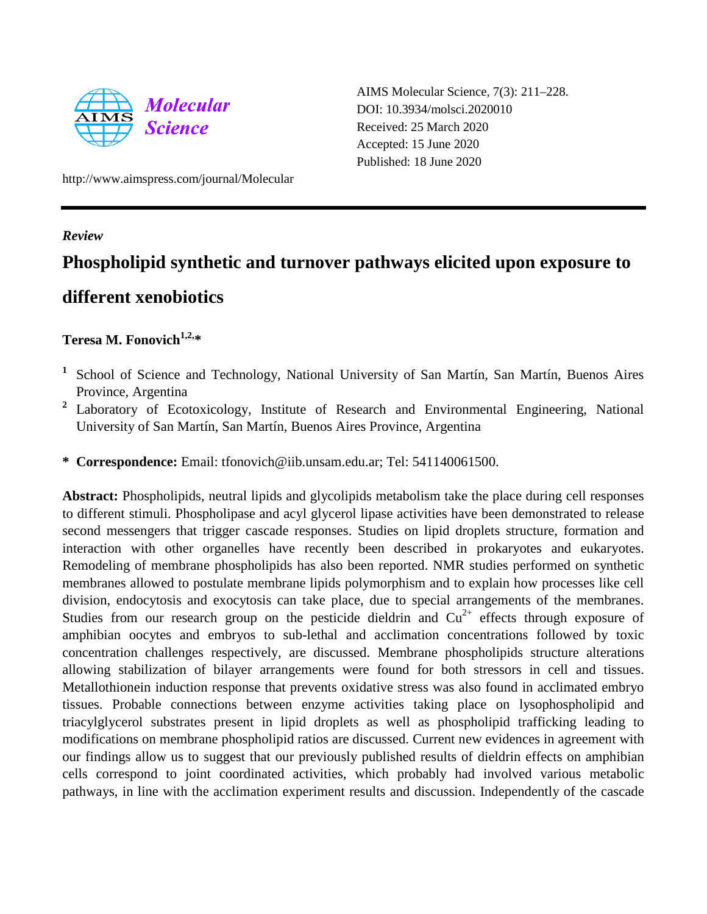

AIMS Molecular Science, 7(3): 211–228. DOI: 10.3934/molsci.2020010 Received: 25 March 2020 Accepted: 15 June 2020 Published: 18 June 2020

http://www.aimspress.com/journal/Molecular

## *Review*

# **Phospholipid synthetic and turnover pathways elicited upon exposure to different xenobiotics**

# **Teresa M. Fonovich1,2, \***

- **<sup>1</sup>** School of Science and Technology, National University of San Martín, San Martín, Buenos Aires Province, Argentina
- <sup>2</sup> Laboratory of Ecotoxicology, Institute of Research and Environmental Engineering, National University of San Martín, San Martín, Buenos Aires Province, Argentina
- **\* Correspondence:** Email: tfonovich@iib.unsam.edu.ar; Tel: 541140061500.

**Abstract:** Phospholipids, neutral lipids and glycolipids metabolism take the place during cell responses to different stimuli. Phospholipase and acyl glycerol lipase activities have been demonstrated to release second messengers that trigger cascade responses. Studies on lipid droplets structure, formation and interaction with other organelles have recently been described in prokaryotes and eukaryotes. Remodeling of membrane phospholipids has also been reported. NMR studies performed on synthetic membranes allowed to postulate membrane lipids polymorphism and to explain how processes like cell division, endocytosis and exocytosis can take place, due to special arrangements of the membranes. Studies from our research group on the pesticide dieldrin and  $Cu^{2+}$  effects through exposure of amphibian oocytes and embryos to sub-lethal and acclimation concentrations followed by toxic concentration challenges respectively, are discussed. Membrane phospholipids structure alterations allowing stabilization of bilayer arrangements were found for both stressors in cell and tissues. Metallothionein induction response that prevents oxidative stress was also found in acclimated embryo tissues. Probable connections between enzyme activities taking place on lysophospholipid and triacylglycerol substrates present in lipid droplets as well as phospholipid trafficking leading to modifications on membrane phospholipid ratios are discussed. Current new evidences in agreement with our findings allow us to suggest that our previously published results of dieldrin effects on amphibian cells correspond to joint coordinated activities, which probably had involved various metabolic pathways, in line with the acclimation experiment results and discussion. Independently of the cascade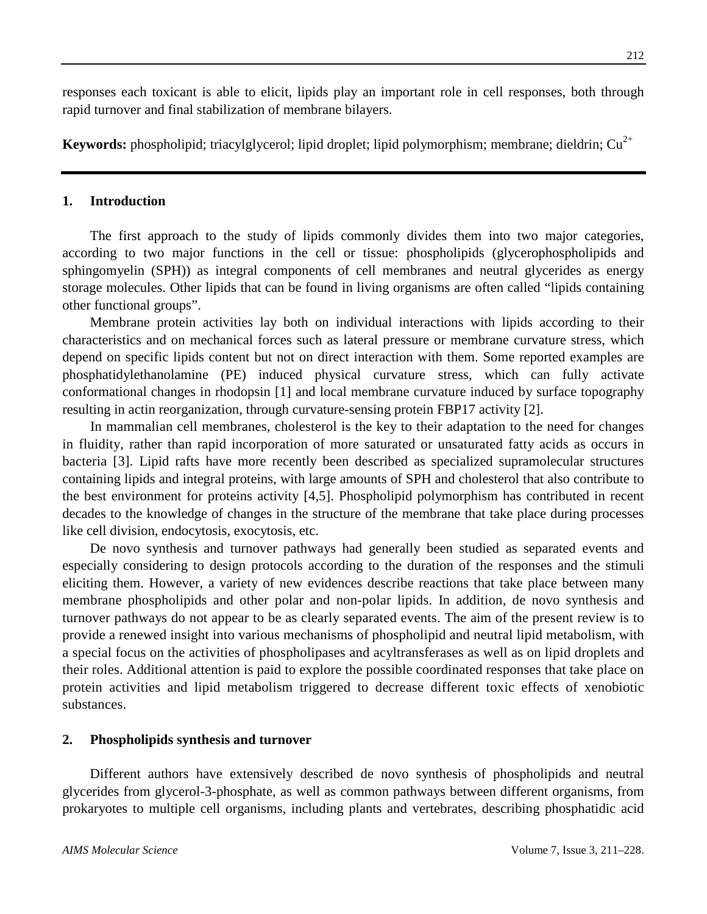responses each toxicant is able to elicit, lipids play an important role in cell responses, both through rapid turnover and final stabilization of membrane bilayers.

**Keywords:** phospholipid; triacylglycerol; lipid droplet; lipid polymorphism; membrane; dieldrin; Cu<sup>2+</sup>

## **1. Introduction**

The first approach to the study of lipids commonly divides them into two major categories, according to two major functions in the cell or tissue: phospholipids (glycerophospholipids and sphingomyelin (SPH)) as integral components of cell membranes and neutral glycerides as energy storage molecules. Other lipids that can be found in living organisms are often called "lipids containing other functional groups".

Membrane protein activities lay both on individual interactions with lipids according to their characteristics and on mechanical forces such as lateral pressure or membrane curvature stress, which depend on specific lipids content but not on direct interaction with them. Some reported examples are phosphatidylethanolamine (PE) induced physical curvature stress, which can fully activate conformational changes in rhodopsin [1] and local membrane curvature induced by surface topography resulting in actin reorganization, through curvature-sensing protein FBP17 activity [2].

In mammalian cell membranes, cholesterol is the key to their adaptation to the need for changes in fluidity, rather than rapid incorporation of more saturated or unsaturated fatty acids as occurs in bacteria [3]. Lipid rafts have more recently been described as specialized supramolecular structures containing lipids and integral proteins, with large amounts of SPH and cholesterol that also contribute to the best environment for proteins activity [4,5]. Phospholipid polymorphism has contributed in recent decades to the knowledge of changes in the structure of the membrane that take place during processes like cell division, endocytosis, exocytosis, etc.

De novo synthesis and turnover pathways had generally been studied as separated events and especially considering to design protocols according to the duration of the responses and the stimuli eliciting them. However, a variety of new evidences describe reactions that take place between many membrane phospholipids and other polar and non-polar lipids. In addition, de novo synthesis and turnover pathways do not appear to be as clearly separated events. The aim of the present review is to provide a renewed insight into various mechanisms of phospholipid and neutral lipid metabolism, with a special focus on the activities of phospholipases and acyltransferases as well as on lipid droplets and their roles. Additional attention is paid to explore the possible coordinated responses that take place on protein activities and lipid metabolism triggered to decrease different toxic effects of xenobiotic substances.

## **2. Phospholipids synthesis and turnover**

Different authors have extensively described de novo synthesis of phospholipids and neutral glycerides from glycerol-3-phosphate, as well as common pathways between different organisms, from prokaryotes to multiple cell organisms, including plants and vertebrates, describing phosphatidic acid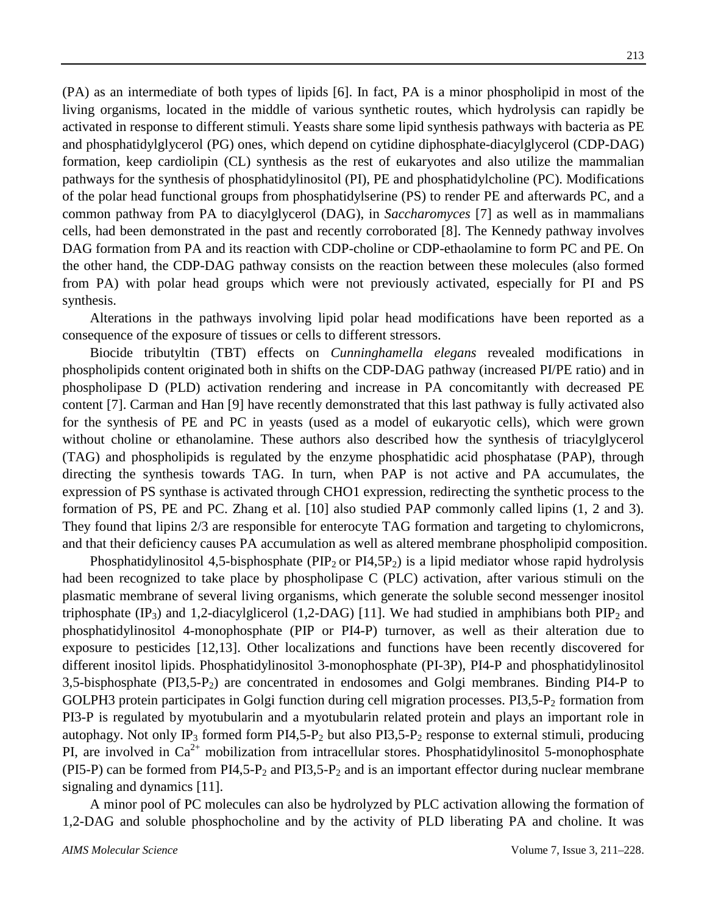(PA) as an intermediate of both types of lipids [6]. In fact, PA is a minor phospholipid in most of the living organisms, located in the middle of various synthetic routes, which hydrolysis can rapidly be activated in response to different stimuli. Yeasts share some lipid synthesis pathways with bacteria as PE and phosphatidylglycerol (PG) ones, which depend on cytidine diphosphate-diacylglycerol (CDP-DAG) formation, keep cardiolipin (CL) synthesis as the rest of eukaryotes and also utilize the mammalian pathways for the synthesis of phosphatidylinositol (PI), PE and phosphatidylcholine (PC). Modifications of the polar head functional groups from phosphatidylserine (PS) to render PE and afterwards PC, and a common pathway from PA to diacylglycerol (DAG), in *Saccharomyces* [7] as well as in mammalians cells, had been demonstrated in the past and recently corroborated [8]. The Kennedy pathway involves DAG formation from PA and its reaction with CDP-choline or CDP-ethaolamine to form PC and PE. On the other hand, the CDP-DAG pathway consists on the reaction between these molecules (also formed from PA) with polar head groups which were not previously activated, especially for PI and PS synthesis.

Alterations in the pathways involving lipid polar head modifications have been reported as a consequence of the exposure of tissues or cells to different stressors.

Biocide tributyltin (TBT) effects on *Cunninghamella elegans* revealed modifications in phospholipids content originated both in shifts on the CDP-DAG pathway (increased PI/PE ratio) and in phospholipase D (PLD) activation rendering and increase in PA concomitantly with decreased PE content [7]. Carman and Han [9] have recently demonstrated that this last pathway is fully activated also for the synthesis of PE and PC in yeasts (used as a model of eukaryotic cells), which were grown without choline or ethanolamine. These authors also described how the synthesis of triacylglycerol (TAG) and phospholipids is regulated by the enzyme phosphatidic acid phosphatase (PAP), through directing the synthesis towards TAG. In turn, when PAP is not active and PA accumulates, the expression of PS synthase is activated through CHO1 expression, redirecting the synthetic process to the formation of PS, PE and PC. Zhang et al. [10] also studied PAP commonly called lipins (1, 2 and 3). They found that lipins 2/3 are responsible for enterocyte TAG formation and targeting to chylomicrons, and that their deficiency causes PA accumulation as well as altered membrane phospholipid composition.

Phosphatidylinositol 4,5-bisphosphate (PIP<sub>2</sub> or PI4,5P<sub>2</sub>) is a lipid mediator whose rapid hydrolysis had been recognized to take place by phospholipase C (PLC) activation, after various stimuli on the plasmatic membrane of several living organisms, which generate the soluble second messenger inositol triphosphate  $(\text{IP}_3)$  and 1,2-diacylglicerol (1,2-DAG) [11]. We had studied in amphibians both PIP<sub>2</sub> and phosphatidylinositol 4-monophosphate (PIP or PI4-P) turnover, as well as their alteration due to exposure to pesticides [12,13]. Other localizations and functions have been recently discovered for different inositol lipids. Phosphatidylinositol 3-monophosphate (PI-3P), PI4-P and phosphatidylinositol 3,5-bisphosphate (PI3,5-P2) are concentrated in endosomes and Golgi membranes. Binding PI4-P to GOLPH3 protein participates in Golgi function during cell migration processes. PI3,5-P<sub>2</sub> formation from PI3-P is regulated by myotubularin and a myotubularin related protein and plays an important role in autophagy. Not only IP<sub>3</sub> formed form PI4,5-P<sub>2</sub> but also PI3,5-P<sub>2</sub> response to external stimuli, producing PI, are involved in  $Ca^{2+}$  mobilization from intracellular stores. Phosphatidylinositol 5-monophosphate (PI5-P) can be formed from PI4,5-P<sub>2</sub> and PI3,5-P<sub>2</sub> and is an important effector during nuclear membrane signaling and dynamics [11].

A minor pool of PC molecules can also be hydrolyzed by PLC activation allowing the formation of 1,2-DAG and soluble phosphocholine and by the activity of PLD liberating PA and choline. It was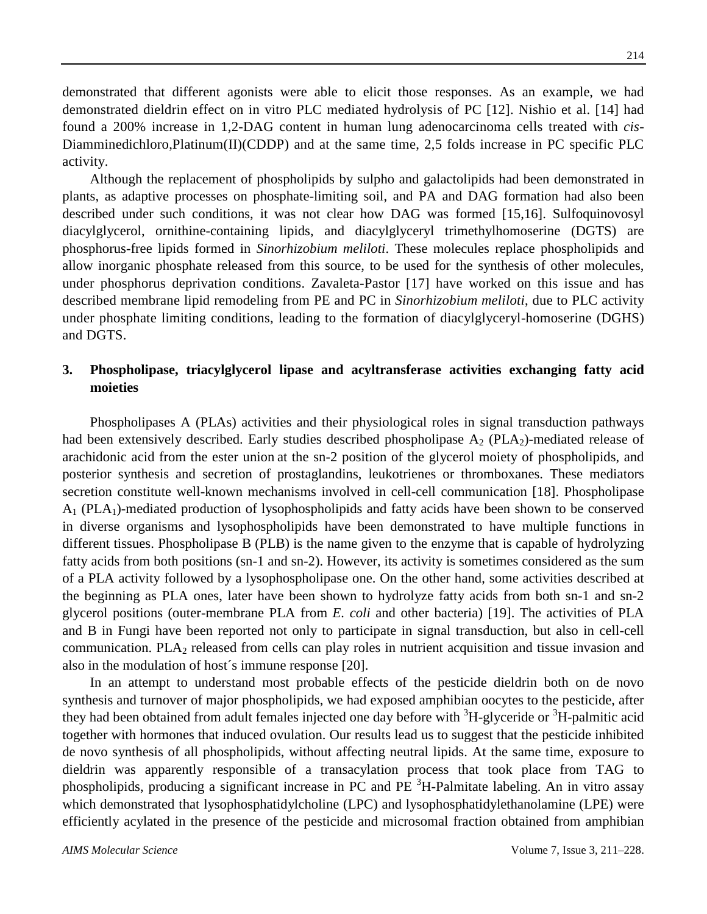demonstrated that different agonists were able to elicit those responses. As an example, we had demonstrated dieldrin effect on in vitro PLC mediated hydrolysis of PC [12]. Nishio et al. [14] had found a 200% increase in 1,2-DAG content in human lung adenocarcinoma cells treated with *cis*-Diamminedichloro,Platinum(II)(CDDP) and at the same time, 2,5 folds increase in PC specific PLC activity.

Although the replacement of phospholipids by sulpho and galactolipids had been demonstrated in plants, as adaptive processes on phosphate-limiting soil, and PA and DAG formation had also been described under such conditions, it was not clear how DAG was formed [15,16]. Sulfoquinovosyl diacylglycerol, ornithine-containing lipids, and diacylglyceryl trimethylhomoserine (DGTS) are phosphorus-free lipids formed in *Sinorhizobium meliloti*. These molecules replace phospholipids and allow inorganic phosphate released from this source, to be used for the synthesis of other molecules, under phosphorus deprivation conditions. Zavaleta-Pastor [17] have worked on this issue and has described membrane lipid remodeling from PE and PC in *Sinorhizobium meliloti*, due to PLC activity under phosphate limiting conditions, leading to the formation of diacylglyceryl-homoserine (DGHS) and DGTS.

# **3. Phospholipase, triacylglycerol lipase and acyltransferase activities exchanging fatty acid moieties**

Phospholipases A (PLAs) activities and their physiological roles in signal transduction pathways had been extensively described. Early studies described phospholipase  $A_2$  (PLA<sub>2</sub>)-mediated release of arachidonic acid from the ester union at the sn-2 position of the glycerol moiety of phospholipids, and posterior synthesis and secretion of prostaglandins, leukotrienes or thromboxanes. These mediators secretion constitute well-known mechanisms involved in cell-cell communication [18]. Phospholipase  $A_1$  (PLA<sub>1</sub>)-mediated production of lysophospholipids and fatty acids have been shown to be conserved in diverse organisms and lysophospholipids have been demonstrated to have multiple functions in different tissues. Phospholipase B (PLB) is the name given to the enzyme that is capable of hydrolyzing fatty acids from both positions (sn-1 and sn-2). However, its activity is sometimes considered as the sum of a PLA activity followed by a lysophospholipase one. On the other hand, some activities described at the beginning as PLA ones, later have been shown to hydrolyze fatty acids from both sn-1 and sn-2 glycerol positions (outer-membrane PLA from *E. coli* and other bacteria) [19]. The activities of PLA and B in Fungi have been reported not only to participate in signal transduction, but also in cell-cell communication. PLA<sub>2</sub> released from cells can play roles in nutrient acquisition and tissue invasion and also in the modulation of host´s immune response [20].

In an attempt to understand most probable effects of the pesticide dieldrin both on de novo synthesis and turnover of major phospholipids, we had exposed amphibian oocytes to the pesticide, after they had been obtained from adult females injected one day before with  ${}^{3}H$ -glyceride or  ${}^{3}H$ -palmitic acid together with hormones that induced ovulation. Our results lead us to suggest that the pesticide inhibited de novo synthesis of all phospholipids, without affecting neutral lipids. At the same time, exposure to dieldrin was apparently responsible of a transacylation process that took place from TAG to phospholipids, producing a significant increase in PC and PE <sup>3</sup>H-Palmitate labeling. An in vitro assay which demonstrated that lysophosphatidylcholine (LPC) and lysophosphatidylethanolamine (LPE) were efficiently acylated in the presence of the pesticide and microsomal fraction obtained from amphibian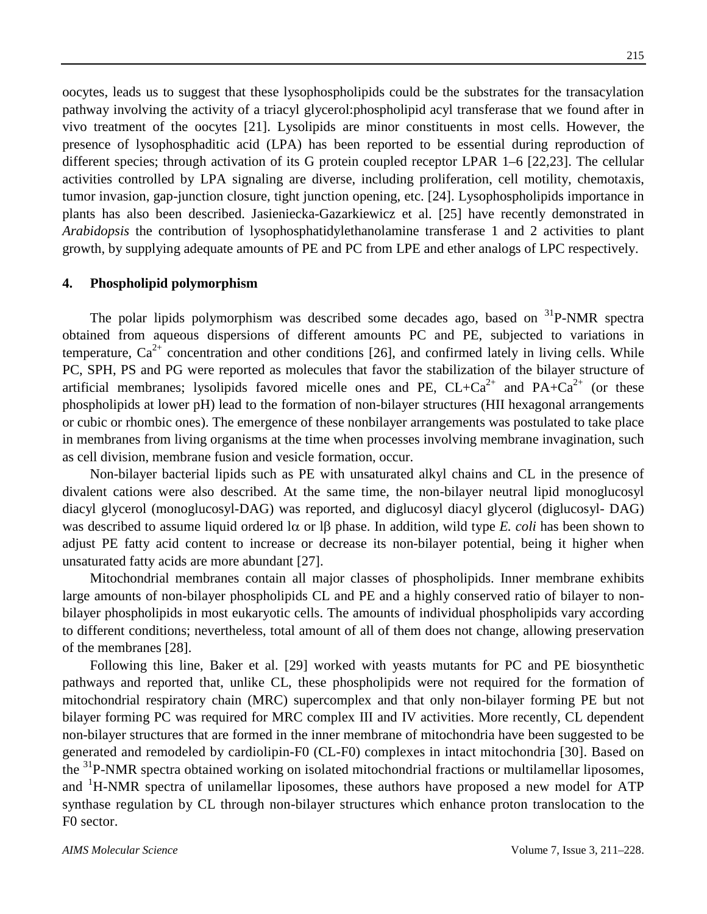oocytes, leads us to suggest that these lysophospholipids could be the substrates for the transacylation pathway involving the activity of a triacyl glycerol:phospholipid acyl transferase that we found after in vivo treatment of the oocytes [21]. Lysolipids are minor constituents in most cells. However, the presence of lysophosphaditic acid (LPA) has been reported to be essential during reproduction of different species; through activation of its G protein coupled receptor LPAR 1–6 [22,23]. The cellular activities controlled by LPA signaling are diverse, including proliferation, cell motility, chemotaxis, tumor invasion, gap-junction closure, tight junction opening, etc. [24]. Lysophospholipids importance in plants has also been described. Jasieniecka-Gazarkiewicz et al. [25] have recently demonstrated in *Arabidopsis* the contribution of lysophosphatidylethanolamine transferase 1 and 2 activities to plant growth, by supplying adequate amounts of PE and PC from LPE and ether analogs of LPC respectively.

#### **4. Phospholipid polymorphism**

The polar lipids polymorphism was described some decades ago, based on  ${}^{31}P\text{-NMR}$  spectra obtained from aqueous dispersions of different amounts PC and PE, subjected to variations in temperature,  $Ca^{2+}$  concentration and other conditions [26], and confirmed lately in living cells. While PC, SPH, PS and PG were reported as molecules that favor the stabilization of the bilayer structure of artificial membranes; lysolipids favored micelle ones and PE,  $CL+Ca^{2+}$  and  $PA+Ca^{2+}$  (or these phospholipids at lower pH) lead to the formation of non-bilayer structures (HII hexagonal arrangements or cubic or rhombic ones). The emergence of these nonbilayer arrangements was postulated to take place in membranes from living organisms at the time when processes involving membrane invagination, such as cell division, membrane fusion and vesicle formation, occur.

Non-bilayer bacterial lipids such as PE with unsaturated alkyl chains and CL in the presence of divalent cations were also described. At the same time, the non-bilayer neutral lipid monoglucosyl diacyl glycerol (monoglucosyl-DAG) was reported, and diglucosyl diacyl glycerol (diglucosyl- DAG) was described to assume liquid ordered lα or lβ phase. In addition, wild type *E. coli* has been shown to adjust PE fatty acid content to increase or decrease its non-bilayer potential, being it higher when unsaturated fatty acids are more abundant [27].

Mitochondrial membranes contain all major classes of phospholipids. Inner membrane exhibits large amounts of non-bilayer phospholipids CL and PE and a highly conserved ratio of bilayer to nonbilayer phospholipids in most eukaryotic cells. The amounts of individual phospholipids vary according to different conditions; nevertheless, total amount of all of them does not change, allowing preservation of the membranes [28].

Following this line, Baker et al. [29] worked with yeasts mutants for PC and PE biosynthetic pathways and reported that, unlike CL, these phospholipids were not required for the formation of mitochondrial respiratory chain (MRC) supercomplex and that only non-bilayer forming PE but not bilayer forming PC was required for MRC complex III and IV activities. More recently, CL dependent non-bilayer structures that are formed in the inner membrane of mitochondria have been suggested to be generated and remodeled by cardiolipin-F0 (CL-F0) complexes in intact mitochondria [30]. Based on the <sup>31</sup>P-NMR spectra obtained working on isolated mitochondrial fractions or multilamellar liposomes, and <sup>1</sup>H-NMR spectra of unilamellar liposomes, these authors have proposed a new model for ATP synthase regulation by CL through non-bilayer structures which enhance proton translocation to the F0 sector.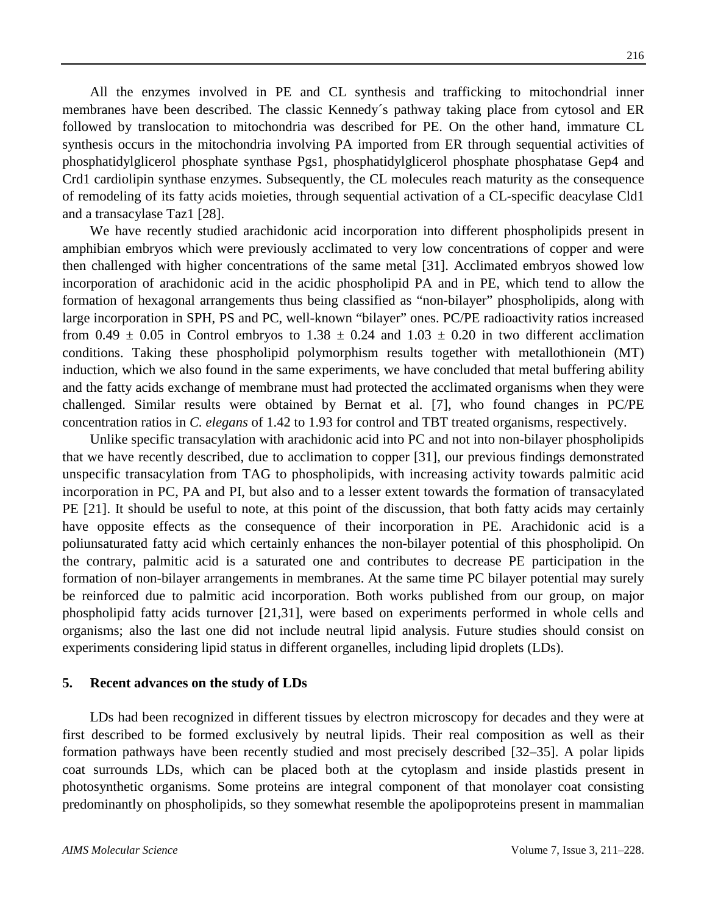All the enzymes involved in PE and CL synthesis and trafficking to mitochondrial inner membranes have been described. The classic Kennedy´s pathway taking place from cytosol and ER followed by translocation to mitochondria was described for PE. On the other hand, immature CL synthesis occurs in the mitochondria involving PA imported from ER through sequential activities of phosphatidylglicerol phosphate synthase Pgs1, phosphatidylglicerol phosphate phosphatase Gep4 and Crd1 cardiolipin synthase enzymes. Subsequently, the CL molecules reach maturity as the consequence of remodeling of its fatty acids moieties, through sequential activation of a CL-specific deacylase Cld1 and a transacylase Taz1 [28].

We have recently studied arachidonic acid incorporation into different phospholipids present in amphibian embryos which were previously acclimated to very low concentrations of copper and were then challenged with higher concentrations of the same metal [31]. Acclimated embryos showed low incorporation of arachidonic acid in the acidic phospholipid PA and in PE, which tend to allow the formation of hexagonal arrangements thus being classified as "non-bilayer" phospholipids, along with large incorporation in SPH, PS and PC, well-known "bilayer" ones. PC/PE radioactivity ratios increased from  $0.49 \pm 0.05$  in Control embryos to  $1.38 \pm 0.24$  and  $1.03 \pm 0.20$  in two different acclimation conditions. Taking these phospholipid polymorphism results together with metallothionein (MT) induction, which we also found in the same experiments, we have concluded that metal buffering ability and the fatty acids exchange of membrane must had protected the acclimated organisms when they were challenged. Similar results were obtained by Bernat et al. [7], who found changes in PC/PE concentration ratios in *C. elegans* of 1.42 to 1.93 for control and TBT treated organisms, respectively.

Unlike specific transacylation with arachidonic acid into PC and not into non-bilayer phospholipids that we have recently described, due to acclimation to copper [31], our previous findings demonstrated unspecific transacylation from TAG to phospholipids, with increasing activity towards palmitic acid incorporation in PC, PA and PI, but also and to a lesser extent towards the formation of transacylated PE [21]. It should be useful to note, at this point of the discussion, that both fatty acids may certainly have opposite effects as the consequence of their incorporation in PE. Arachidonic acid is a poliunsaturated fatty acid which certainly enhances the non-bilayer potential of this phospholipid. On the contrary, palmitic acid is a saturated one and contributes to decrease PE participation in the formation of non-bilayer arrangements in membranes. At the same time PC bilayer potential may surely be reinforced due to palmitic acid incorporation. Both works published from our group, on major phospholipid fatty acids turnover [21,31], were based on experiments performed in whole cells and organisms; also the last one did not include neutral lipid analysis. Future studies should consist on experiments considering lipid status in different organelles, including lipid droplets (LDs).

#### **5. Recent advances on the study of LDs**

LDs had been recognized in different tissues by electron microscopy for decades and they were at first described to be formed exclusively by neutral lipids. Their real composition as well as their formation pathways have been recently studied and most precisely described [32–35]. A polar lipids coat surrounds LDs, which can be placed both at the cytoplasm and inside plastids present in photosynthetic organisms. Some proteins are integral component of that monolayer coat consisting predominantly on phospholipids, so they somewhat resemble the apolipoproteins present in mammalian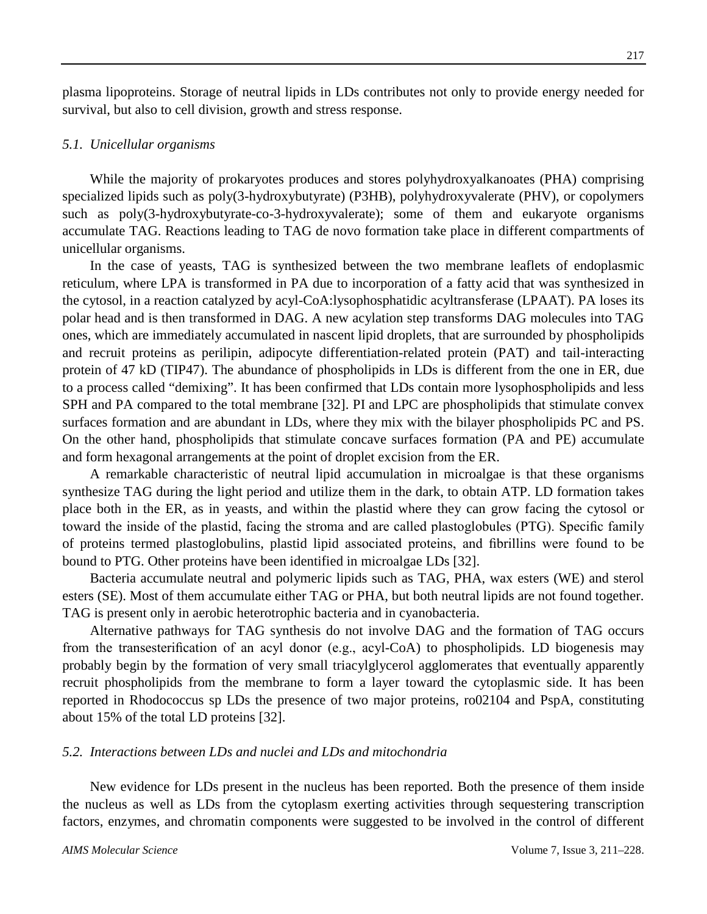plasma lipoproteins. Storage of neutral lipids in LDs contributes not only to provide energy needed for survival, but also to cell division, growth and stress response.

#### *5.1. Unicellular organisms*

While the majority of prokaryotes produces and stores polyhydroxyalkanoates (PHA) comprising specialized lipids such as poly(3-hydroxybutyrate) (P3HB), polyhydroxyvalerate (PHV), or copolymers such as poly(3-hydroxybutyrate-co-3-hydroxyvalerate); some of them and eukaryote organisms accumulate TAG. Reactions leading to TAG de novo formation take place in different compartments of unicellular organisms.

In the case of yeasts, TAG is synthesized between the two membrane leaflets of endoplasmic reticulum, where LPA is transformed in PA due to incorporation of a fatty acid that was synthesized in the cytosol, in a reaction catalyzed by acyl-CoA:lysophosphatidic acyltransferase (LPAAT). PA loses its polar head and is then transformed in DAG. A new acylation step transforms DAG molecules into TAG ones, which are immediately accumulated in nascent lipid droplets, that are surrounded by phospholipids and recruit proteins as perilipin, adipocyte differentiation-related protein (PAT) and tail-interacting protein of 47 kD (TIP47). The abundance of phospholipids in LDs is different from the one in ER, due to a process called "demixing". It has been confirmed that LDs contain more lysophospholipids and less SPH and PA compared to the total membrane [32]. PI and LPC are phospholipids that stimulate convex surfaces formation and are abundant in LDs, where they mix with the bilayer phospholipids PC and PS. On the other hand, phospholipids that stimulate concave surfaces formation (PA and PE) accumulate and form hexagonal arrangements at the point of droplet excision from the ER.

A remarkable characteristic of neutral lipid accumulation in microalgae is that these organisms synthesize TAG during the light period and utilize them in the dark, to obtain ATP. LD formation takes place both in the ER, as in yeasts, and within the plastid where they can grow facing the cytosol or toward the inside of the plastid, facing the stroma and are called plastoglobules (PTG). Specific family of proteins termed plastoglobulins, plastid lipid associated proteins, and fibrillins were found to be bound to PTG. Other proteins have been identified in microalgae LDs [32].

Bacteria accumulate neutral and polymeric lipids such as TAG, PHA, wax esters (WE) and sterol esters (SE). Most of them accumulate either TAG or PHA, but both neutral lipids are not found together. TAG is present only in aerobic heterotrophic bacteria and in cyanobacteria.

Alternative pathways for TAG synthesis do not involve DAG and the formation of TAG occurs from the transesterification of an acyl donor (e.g., acyl-CoA) to phospholipids. LD biogenesis may probably begin by the formation of very small triacylglycerol agglomerates that eventually apparently recruit phospholipids from the membrane to form a layer toward the cytoplasmic side. It has been reported in Rhodococcus sp LDs the presence of two major proteins, ro02104 and PspA, constituting about 15% of the total LD proteins [32].

#### *5.2. Interactions between LDs and nuclei and LDs and mitochondria*

New evidence for LDs present in the nucleus has been reported. Both the presence of them inside the nucleus as well as LDs from the cytoplasm exerting activities through sequestering transcription factors, enzymes, and chromatin components were suggested to be involved in the control of different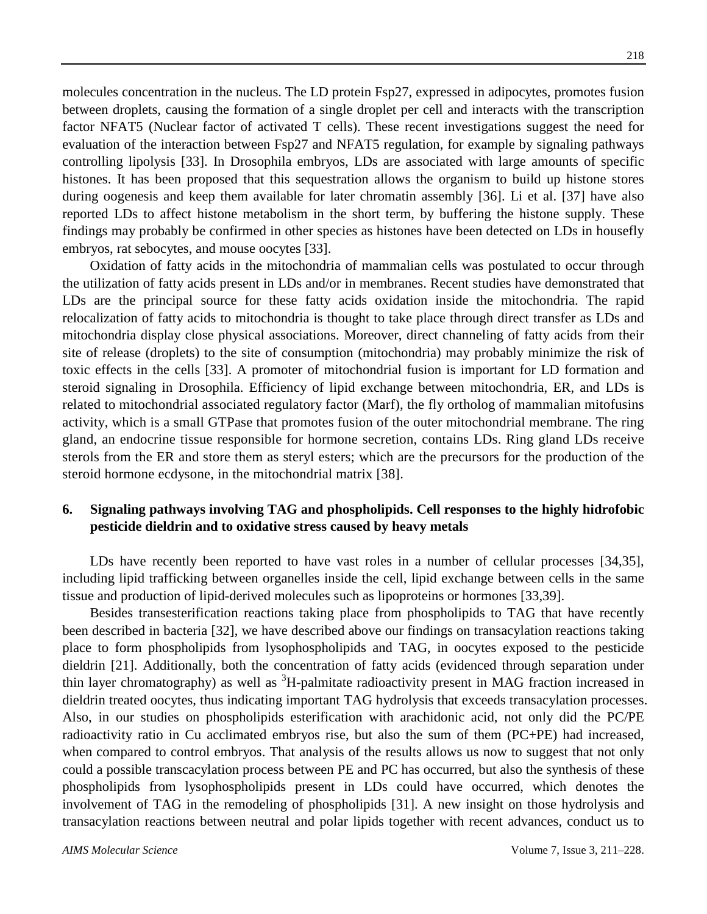molecules concentration in the nucleus. The LD protein Fsp27, expressed in adipocytes, promotes fusion between droplets, causing the formation of a single droplet per cell and interacts with the transcription factor NFAT5 (Nuclear factor of activated T cells). These recent investigations suggest the need for evaluation of the interaction between Fsp27 and NFAT5 regulation, for example by signaling pathways controlling lipolysis [33]. In Drosophila embryos, LDs are associated with large amounts of specific

histones. It has been proposed that this sequestration allows the organism to build up histone stores during oogenesis and keep them available for later chromatin assembly [36]. Li et al. [37] have also reported LDs to affect histone metabolism in the short term, by buffering the histone supply. These findings may probably be confirmed in other species as histones have been detected on LDs in housefly embryos, rat sebocytes, and mouse oocytes [33].

Oxidation of fatty acids in the mitochondria of mammalian cells was postulated to occur through the utilization of fatty acids present in LDs and/or in membranes. Recent studies have demonstrated that LDs are the principal source for these fatty acids oxidation inside the mitochondria. The rapid relocalization of fatty acids to mitochondria is thought to take place through direct transfer as LDs and mitochondria display close physical associations. Moreover, direct channeling of fatty acids from their site of release (droplets) to the site of consumption (mitochondria) may probably minimize the risk of toxic effects in the cells [33]. A promoter of mitochondrial fusion is important for LD formation and steroid signaling in Drosophila. Efficiency of lipid exchange between mitochondria, ER, and LDs is related to mitochondrial associated regulatory factor (Marf), the fly ortholog of mammalian mitofusins activity, which is a small GTPase that promotes fusion of the outer mitochondrial membrane. The ring gland, an endocrine tissue responsible for hormone secretion, contains LDs. Ring gland LDs receive sterols from the ER and store them as steryl esters; which are the precursors for the production of the steroid hormone ecdysone, in the mitochondrial matrix [38].

# **6. Signaling pathways involving TAG and phospholipids. Cell responses to the highly hidrofobic pesticide dieldrin and to oxidative stress caused by heavy metals**

LDs have recently been reported to have vast roles in a number of cellular processes [34,35], including lipid trafficking between organelles inside the cell, lipid exchange between cells in the same tissue and production of lipid-derived molecules such as lipoproteins or hormones [33,39].

Besides transesterification reactions taking place from phospholipids to TAG that have recently been described in bacteria [32], we have described above our findings on transacylation reactions taking place to form phospholipids from lysophospholipids and TAG, in oocytes exposed to the pesticide dieldrin [21]. Additionally, both the concentration of fatty acids (evidenced through separation under thin layer chromatography) as well as <sup>3</sup>H-palmitate radioactivity present in MAG fraction increased in dieldrin treated oocytes, thus indicating important TAG hydrolysis that exceeds transacylation processes. Also, in our studies on phospholipids esterification with arachidonic acid, not only did the PC/PE radioactivity ratio in Cu acclimated embryos rise, but also the sum of them (PC+PE) had increased, when compared to control embryos. That analysis of the results allows us now to suggest that not only could a possible transcacylation process between PE and PC has occurred, but also the synthesis of these phospholipids from lysophospholipids present in LDs could have occurred, which denotes the involvement of TAG in the remodeling of phospholipids [31]. A new insight on those hydrolysis and transacylation reactions between neutral and polar lipids together with recent advances, conduct us to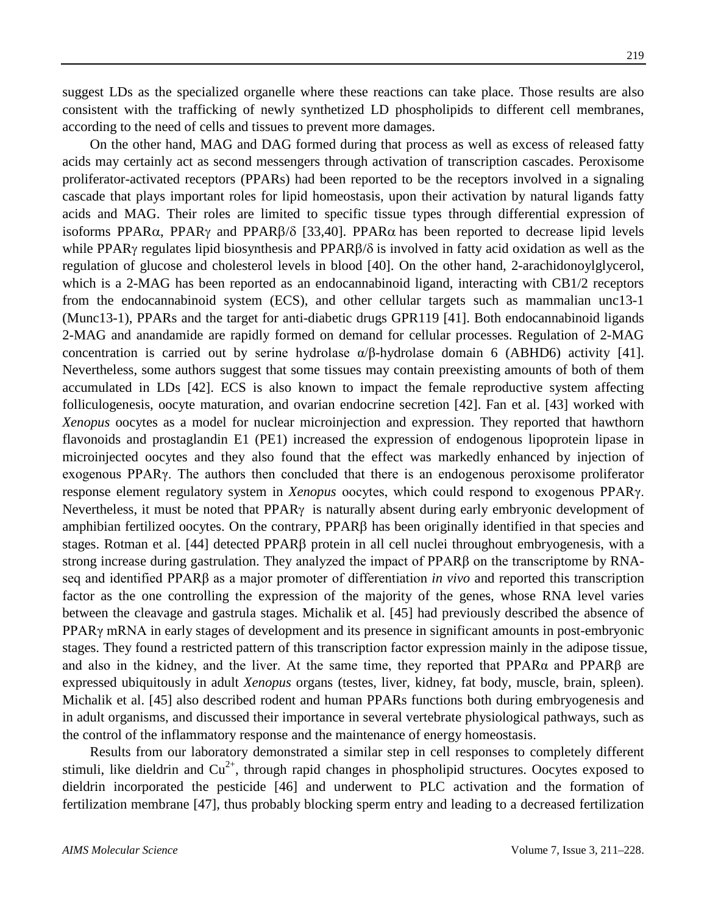suggest LDs as the specialized organelle where these reactions can take place. Those results are also consistent with the trafficking of newly synthetized LD phospholipids to different cell membranes, according to the need of cells and tissues to prevent more damages.

On the other hand, MAG and DAG formed during that process as well as excess of released fatty acids may certainly act as second messengers through activation of transcription cascades. Peroxisome proliferator-activated receptors (PPARs) had been reported to be the receptors involved in a signaling cascade that plays important roles for lipid homeostasis, upon their activation by natural ligands fatty acids and MAG. Their roles are limited to specific tissue types through differential expression of isoforms PPARα, PPARγ and PPARβ/δ [33,40]. PPARα has been reported to decrease lipid levels while PPARγ regulates lipid biosynthesis and PPARβ/δ is involved in fatty acid oxidation as well as the regulation of glucose and cholesterol levels in blood [40]. On the other hand, 2-arachidonoylglycerol, which is a 2-MAG has been reported as an endocannabinoid ligand, interacting with CB1/2 receptors from the endocannabinoid system (ECS), and other cellular targets such as mammalian unc13-1 (Munc13-1), PPARs and the target for anti-diabetic drugs GPR119 [41]. Both endocannabinoid ligands 2-MAG and anandamide are rapidly formed on demand for cellular processes. Regulation of 2-MAG concentration is carried out by serine hydrolase  $\alpha/\beta$ -hydrolase domain 6 (ABHD6) activity [41]. Nevertheless, some authors suggest that some tissues may contain preexisting amounts of both of them accumulated in LDs [42]. ECS is also known to impact the female reproductive system affecting folliculogenesis, oocyte maturation, and ovarian endocrine secretion [42]. Fan et al. [43] worked with *Xenopus* oocytes as a model for nuclear microinjection and expression. They reported that hawthorn flavonoids and prostaglandin E1 (PE1) increased the expression of endogenous lipoprotein lipase in microinjected oocytes and they also found that the effect was markedly enhanced by injection of exogenous PPARγ. The authors then concluded that there is an endogenous peroxisome proliferator response element regulatory system in *Xenopus* oocytes, which could respond to exogenous PPARγ. Nevertheless, it must be noted that PPARγ is naturally absent during early embryonic development of amphibian fertilized oocytes. On the contrary, PPARβ has been originally identified in that species and stages. Rotman et al. [44] detected PPARβ protein in all cell nuclei throughout embryogenesis, with a strong increase during gastrulation. They analyzed the impact of PPARβ on the transcriptome by RNAseq and identified PPARβ as a major promoter of differentiation *in vivo* and reported this transcription factor as the one controlling the expression of the majority of the genes, whose RNA level varies between the cleavage and gastrula stages. Michalik et al. [45] had previously described the absence of PPARγ mRNA in early stages of development and its presence in significant amounts in post-embryonic stages. They found a restricted pattern of this transcription factor expression mainly in the adipose tissue, and also in the kidney, and the liver. At the same time, they reported that PPARα and PPARβ are expressed ubiquitously in adult *Xenopus* organs (testes, liver, kidney, fat body, muscle, brain, spleen). Michalik et al. [45] also described rodent and human PPARs functions both during embryogenesis and in adult organisms, and discussed their importance in several vertebrate physiological pathways, such as the control of the inflammatory response and the maintenance of energy homeostasis.

Results from our laboratory demonstrated a similar step in cell responses to completely different stimuli, like dieldrin and  $Cu^{2+}$ , through rapid changes in phospholipid structures. Oocytes exposed to dieldrin incorporated the pesticide [46] and underwent to PLC activation and the formation of fertilization membrane [47], thus probably blocking sperm entry and leading to a decreased fertilization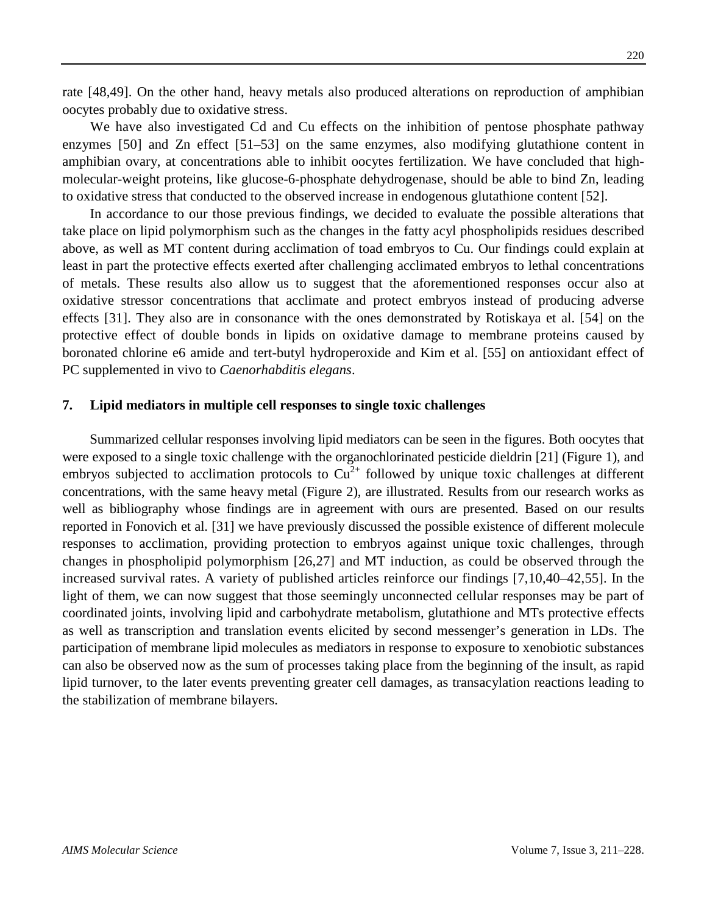rate [48,49]. On the other hand, heavy metals also produced alterations on reproduction of amphibian oocytes probably due to oxidative stress.

We have also investigated Cd and Cu effects on the inhibition of pentose phosphate pathway enzymes [50] and Zn effect [51–53] on the same enzymes, also modifying glutathione content in amphibian ovary, at concentrations able to inhibit oocytes fertilization. We have concluded that highmolecular-weight proteins, like glucose-6-phosphate dehydrogenase, should be able to bind Zn, leading to oxidative stress that conducted to the observed increase in endogenous glutathione content [52].

In accordance to our those previous findings, we decided to evaluate the possible alterations that take place on lipid polymorphism such as the changes in the fatty acyl phospholipids residues described above, as well as MT content during acclimation of toad embryos to Cu. Our findings could explain at least in part the protective effects exerted after challenging acclimated embryos to lethal concentrations of metals. These results also allow us to suggest that the aforementioned responses occur also at oxidative stressor concentrations that acclimate and protect embryos instead of producing adverse effects [31]. They also are in consonance with the ones demonstrated by Rotiskaya et al. [54] on the protective effect of double bonds in lipids on oxidative damage to membrane proteins caused by boronated chlorine e6 amide and tert-butyl hydroperoxide and Kim et al. [55] on antioxidant effect of PC supplemented in vivo to *Caenorhabditis elegans*.

#### **7. Lipid mediators in multiple cell responses to single toxic challenges**

Summarized cellular responses involving lipid mediators can be seen in the figures. Both oocytes that were exposed to a single toxic challenge with the organochlorinated pesticide dieldrin [21] (Figure 1), and embryos subjected to acclimation protocols to  $Cu^{2+}$  followed by unique toxic challenges at different concentrations, with the same heavy metal (Figure 2), are illustrated. Results from our research works as well as bibliography whose findings are in agreement with ours are presented. Based on our results reported in Fonovich et al. [31] we have previously discussed the possible existence of different molecule responses to acclimation, providing protection to embryos against unique toxic challenges, through changes in phospholipid polymorphism [26,27] and MT induction, as could be observed through the increased survival rates. A variety of published articles reinforce our findings [7,10,40–42,55]. In the light of them, we can now suggest that those seemingly unconnected cellular responses may be part of coordinated joints, involving lipid and carbohydrate metabolism, glutathione and MTs protective effects as well as transcription and translation events elicited by second messenger's generation in LDs. The participation of membrane lipid molecules as mediators in response to exposure to xenobiotic substances can also be observed now as the sum of processes taking place from the beginning of the insult, as rapid lipid turnover, to the later events preventing greater cell damages, as transacylation reactions leading to the stabilization of membrane bilayers.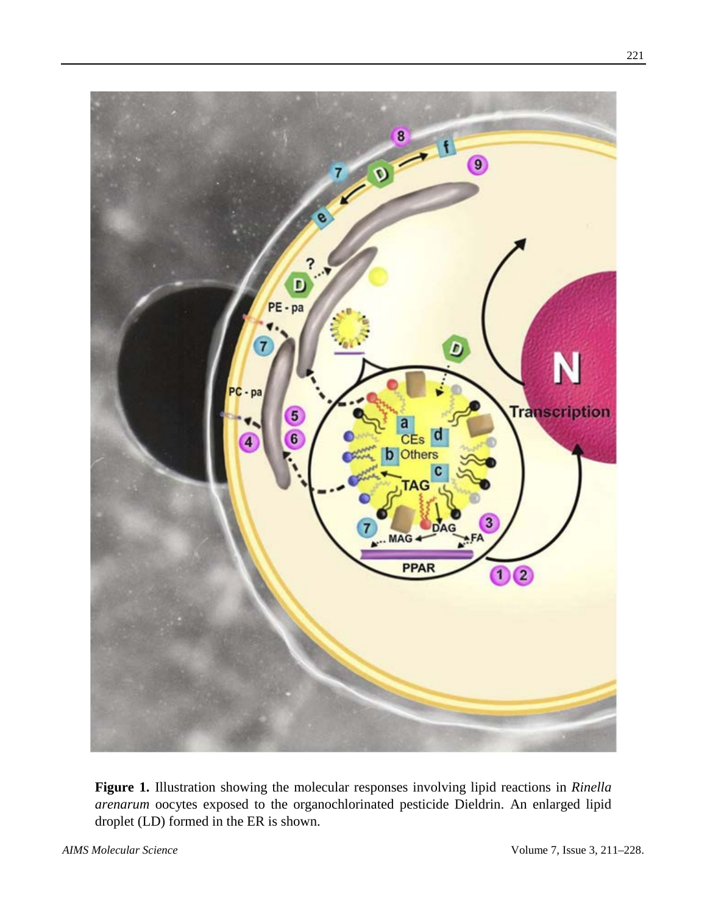

**Figure 1.** Illustration showing the molecular responses involving lipid reactions in *Rinella arenarum* oocytes exposed to the organochlorinated pesticide Dieldrin. An enlarged lipid droplet (LD) formed in the ER is shown.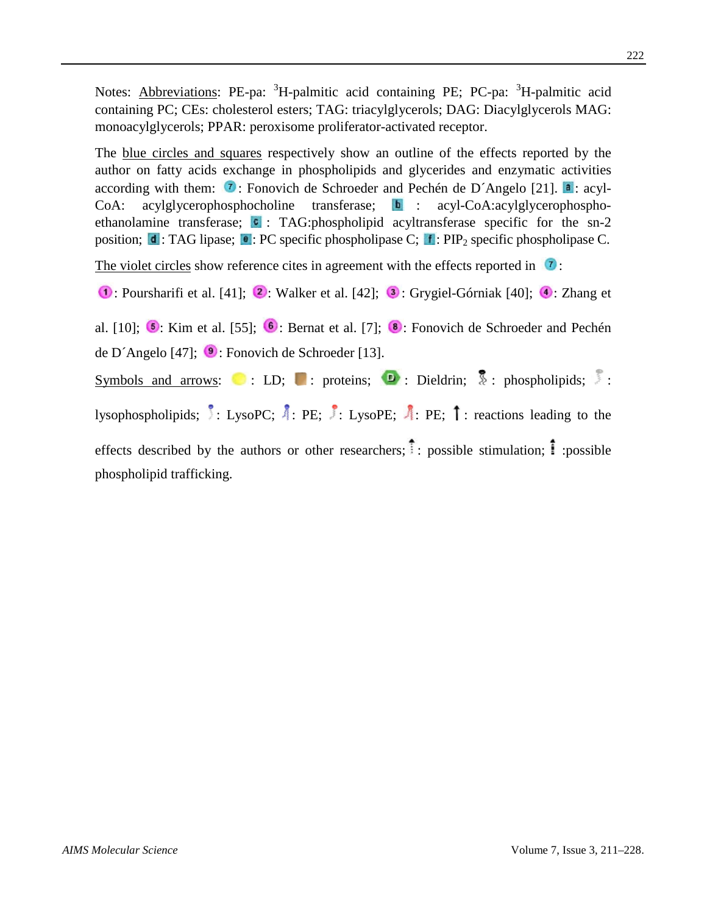Notes: **Abbreviations**: PE-pa: <sup>3</sup>H-palmitic acid containing PE; PC-pa: <sup>3</sup>H-palmitic acid containing PC; CEs: cholesterol esters; TAG: triacylglycerols; DAG: Diacylglycerols MAG: monoacylglycerols; PPAR: peroxisome proliferator-activated receptor.

The blue circles and squares respectively show an outline of the effects reported by the author on fatty acids exchange in phospholipids and glycerides and enzymatic activities according with them:  $\tau$ : Fonovich de Schroeder and Pechén de D´Angelo [21].  $\tau$ : acyl- $CoA: \quad acylglycerophosphocholine \quad transferase; \quad b : \quad acyl-coA: acylglycerophospho$ ethanolamine transferase;  $\bullet$ : TAG:phospholipid acyltransferase specific for the sn-2 position;  $\mathbf{d}$ : TAG lipase;  $\mathbf{e}$ : PC specific phospholipase C;  $\mathbf{f}$ : PIP<sub>2</sub> specific phospholipase C.

The violet circles show reference cites in agreement with the effects reported in  $\boxed{7}$ :

 $\bullet$ : Poursharifi et al. [41];  $\bullet$ : Walker et al. [42];  $\bullet$ : [Grygiel-Górniak](https://pubmed.ncbi.nlm.nih.gov/?term=Grygiel-G%C3%B3rniak+B&cauthor_id=24524207) [40];  $\bullet$ : Zhang et

al. [10];  $\bullet$ : Kim et al. [55];  $\bullet$ : Bernat et al. [7];  $\bullet$ : Fonovich de Schroeder and Pechén de D´Angelo [47];  $\bullet$ : Fonovich de Schroeder [13].

Symbols and arrows: : LD; : proteins;  $\mathbf{D}$ : Dieldrin;  $\frac{1}{2}$ : phospholipids; : lysophospholipids; : LysoPC;  $\vec{A}$ : PE; : LysoPE;  $\vec{A}$ : PE;  $\vec{I}$ : reactions leading to the effects described by the authors or other researchers;  $\hat{\cdot}$ : possible stimulation;  $\hat{\cdot}$ : possible phospholipid trafficking.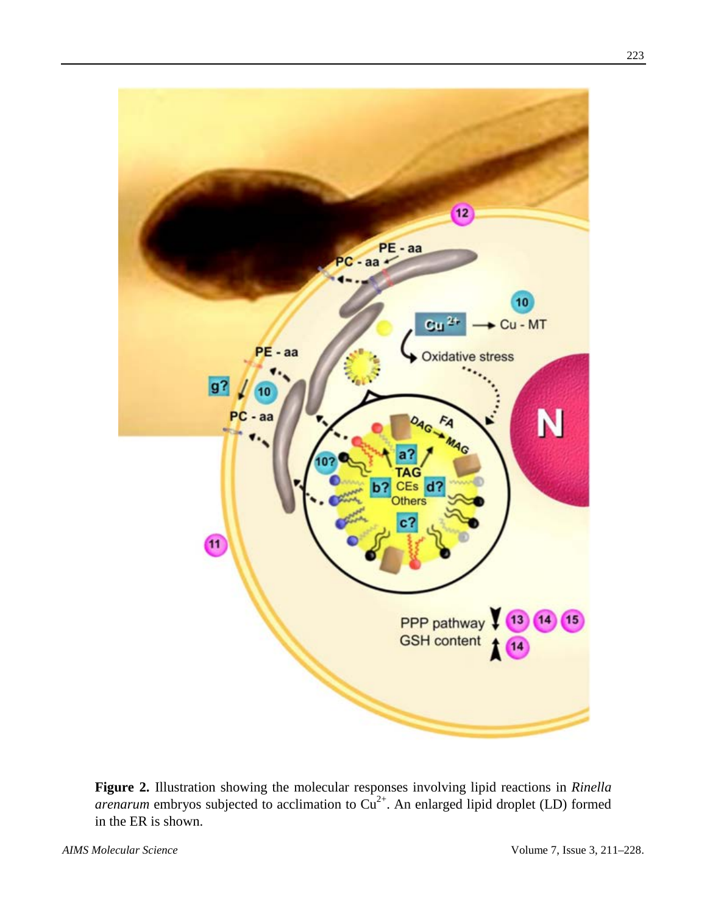

**Figure 2.** Illustration showing the molecular responses involving lipid reactions in *Rinella arenarum* embryos subjected to acclimation to  $Cu^{2+}$ . An enlarged lipid droplet (LD) formed in the ER is shown.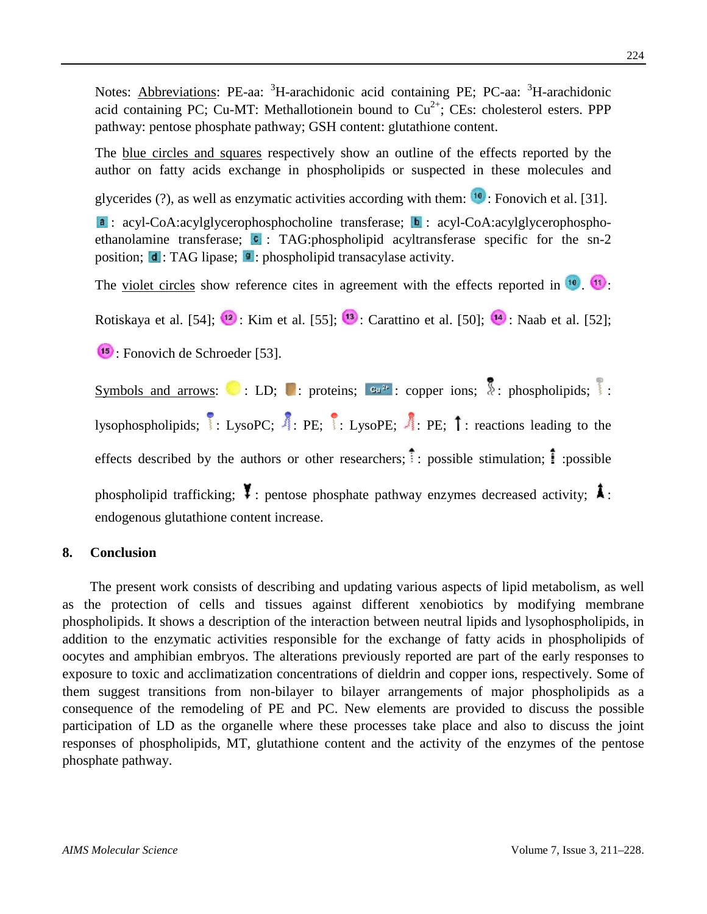Notes: **Abbreviations**: PE-aa: <sup>3</sup>H-arachidonic acid containing PE; PC-aa: <sup>3</sup>H-arachidonic acid containing PC; Cu-MT: Methallotionein bound to  $Cu^{2+}$ ; CEs: cholesterol esters. PPP pathway: pentose phosphate pathway; GSH content: glutathione content.

The blue circles and squares respectively show an outline of the effects reported by the author on fatty acids exchange in phospholipids or suspected in these molecules and

glycerides  $(?)$ , as well as enzymatic activities according with them:  $\mathbb{I}^{\bullet}$ : Fonovich et al. [31].

 $\bullet$ : acyl-CoA:acylglycerophosphocholine transferase;  $\bullet$ : acyl-CoA:acylglycerophosphoethanolamine transferase;  $\bullet$ : TAG:phospholipid acyltransferase specific for the sn-2 position;  $\mathbf{d}$ : TAG lipase;  $\mathbf{P}$ : phospholipid transacylase activity.

The <u>violet circles</u> show reference cites in agreement with the effects reported in  $\frac{10}{11}$ .

Rotiskaya et al. [54];  $\frac{12}{2}$ : Kim et al. [55];  $\frac{13}{2}$ : Carattino et al. [50];  $\frac{14}{2}$ : Naab et al. [52];

: Fonovich de Schroeder [53].

Symbols and arrows: : LD; : proteins;  $\mathbb{R}^2$ : copper ions;  $\overline{\mathbb{R}}$ : phospholipids; : lysophospholipids;  $\cdot \cdot$  LysoPC;  $\cdot \cdot$  PE;  $\cdot \cdot$  E: LysoPE;  $\cdot \cdot$  PE;  $\cdot \cdot$  reactions leading to the effects described by the authors or other researchers;  $\cdot$ : possible stimulation;  $\cdot$ : possible phospholipid trafficking;  $\sharp$  : pentose phosphate pathway enzymes decreased activity;  $\sharp$  : endogenous glutathione content increase.

## **8. Conclusion**

The present work consists of describing and updating various aspects of lipid metabolism, as well as the protection of cells and tissues against different xenobiotics by modifying membrane phospholipids. It shows a description of the interaction between neutral lipids and lysophospholipids, in addition to the enzymatic activities responsible for the exchange of fatty acids in phospholipids of oocytes and amphibian embryos. The alterations previously reported are part of the early responses to exposure to toxic and acclimatization concentrations of dieldrin and copper ions, respectively. Some of them suggest transitions from non-bilayer to bilayer arrangements of major phospholipids as a consequence of the remodeling of PE and PC. New elements are provided to discuss the possible participation of LD as the organelle where these processes take place and also to discuss the joint responses of phospholipids, MT, glutathione content and the activity of the enzymes of the pentose phosphate pathway.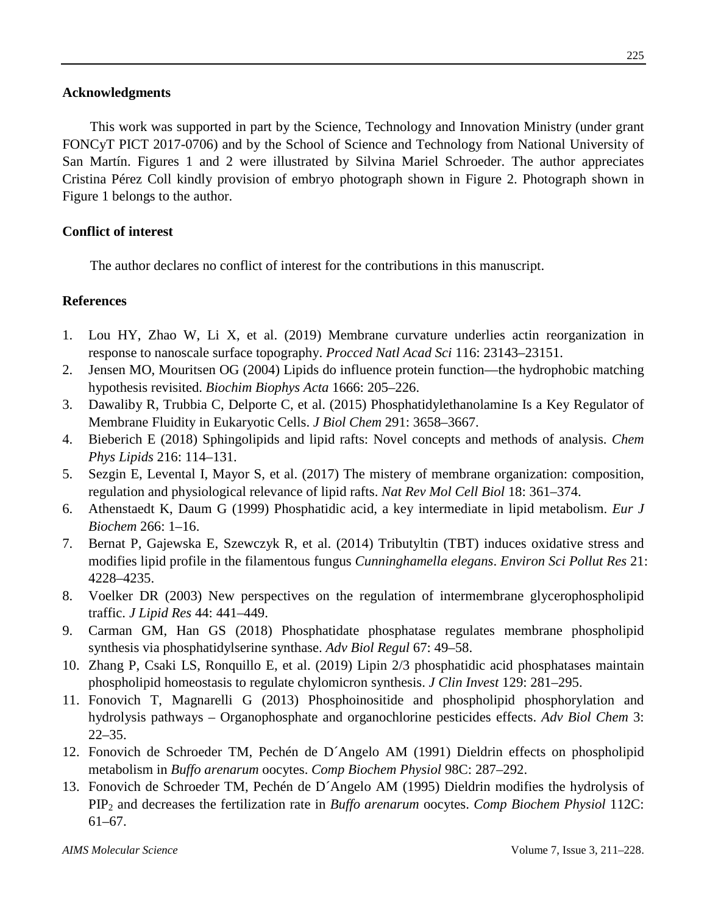## **Acknowledgments**

This work was supported in part by the Science, Technology and Innovation Ministry (under grant FONCyT PICT 2017-0706) and by the School of Science and Technology from National University of San Martín. Figures 1 and 2 were illustrated by Silvina Mariel Schroeder. The author appreciates Cristina Pérez Coll kindly provision of embryo photograph shown in Figure 2. Photograph shown in Figure 1 belongs to the author.

# **Conflict of interest**

The author declares no conflict of interest for the contributions in this manuscript.

# **References**

- 1. Lou HY, Zhao W, Li X, et al. (2019) Membrane curvature underlies actin reorganization in response to nanoscale surface topography. *Procced Natl Acad Sci* 116: 23143–23151.
- 2. Jensen MO, Mouritsen OG (2004) Lipids do influence protein function—the hydrophobic matching hypothesis revisited. *Biochim Biophys Acta* 1666: 205–226.
- 3. Dawaliby R, Trubbia C, Delporte C, et al. (2015) Phosphatidylethanolamine Is a Key Regulator of Membrane Fluidity in Eukaryotic Cells. *J Biol Chem* 291: 3658–3667.
- 4. Bieberich E (2018) Sphingolipids and lipid rafts: Novel concepts and methods of analysis. *Chem Phys Lipids* 216: 114–131.
- 5. Sezgin E, Levental I, Mayor S, et al. (2017) The mistery of membrane organization: composition, regulation and physiological relevance of lipid rafts. *Nat Rev Mol Cell Biol* 18: 361–374.
- 6. Athenstaedt K, Daum G (1999) Phosphatidic acid, a key intermediate in lipid metabolism. *Eur J Biochem* 266: 1–16.
- 7. Bernat P, Gajewska E, Szewczyk R, et al. (2014) Tributyltin (TBT) induces oxidative stress and modifies lipid profile in the filamentous fungus *Cunninghamella elegans*. *Environ Sci Pollut Res* 21: 4228–4235.
- 8. Voelker DR (2003) New perspectives on the regulation of intermembrane glycerophospholipid traffic. *J Lipid Res* 44: 441–449.
- 9. Carman GM, Han GS (2018) Phosphatidate phosphatase regulates membrane phospholipid synthesis via phosphatidylserine synthase. *Adv Biol Regul* 67: 49–58.
- 10. Zhang P, Csaki LS, Ronquillo E, et al. (2019) Lipin 2/3 phosphatidic acid phosphatases maintain phospholipid homeostasis to regulate chylomicron synthesis. *J Clin Invest* 129: 281–295.
- 11. Fonovich T, Magnarelli G (2013) Phosphoinositide and phospholipid phosphorylation and hydrolysis pathways – Organophosphate and organochlorine pesticides effects. *Adv Biol Chem* 3: 22–35.
- 12. Fonovich de Schroeder TM, Pechén de D´Angelo AM (1991) Dieldrin effects on phospholipid metabolism in *Buffo arenarum* oocytes. *Comp Biochem Physiol* 98C: 287–292.
- 13. Fonovich de Schroeder TM, Pechén de D´Angelo AM (1995) Dieldrin modifies the hydrolysis of PIP2 and decreases the fertilization rate in *Buffo arenarum* oocytes. *Comp Biochem Physiol* 112C: 61–67.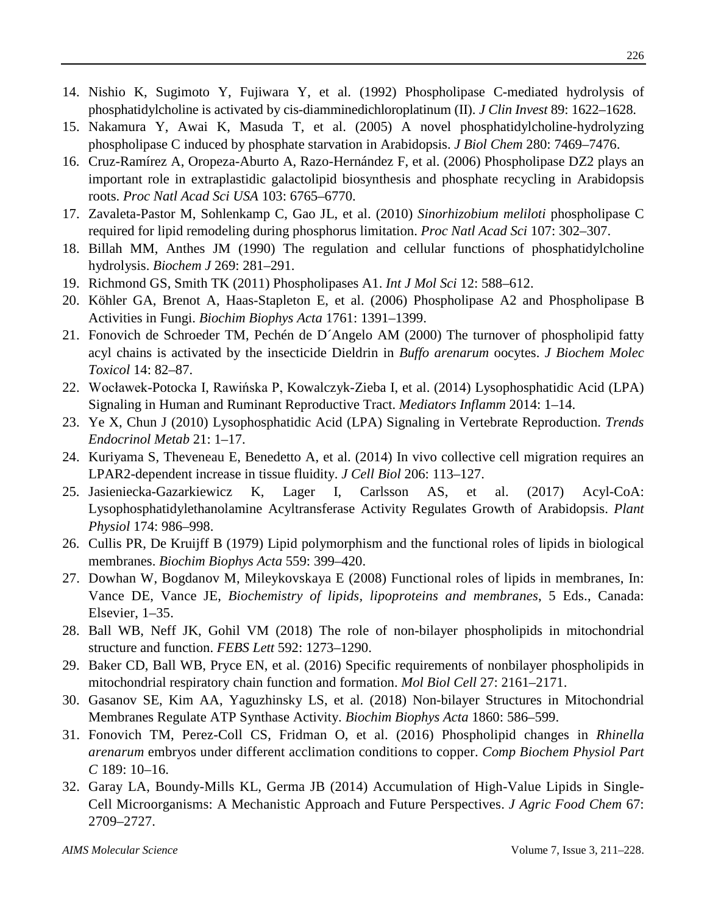- 14. Nishio K, Sugimoto Y, [Fujiwara](https://www.ncbi.nlm.nih.gov/pubmed/?term=Fujiwara%20Y%5BAuthor%5D&cauthor=true&cauthor_uid=1569201) Y, et al. (1992) Phospholipase C-mediated hydrolysis of phosphatidylcholine is activated by cis-diamminedichloroplatinum (II). *J Clin Invest* 89: 1622–1628.
- 15. Nakamura Y, Awai K, Masuda T, et al. (2005) A novel phosphatidylcholine-hydrolyzing phospholipase C induced by phosphate starvation in Arabidopsis. *J Biol Chem* 280: 7469–7476.
- 16. Cruz-Ramírez A, Oropeza-Aburto A, Razo-Hernández F, et al. (2006) Phospholipase DZ2 plays an important role in extraplastidic galactolipid biosynthesis and phosphate recycling in Arabidopsis roots. *Proc Natl Acad Sci USA* 103: 6765–6770.
- 17. Zavaleta-Pastor M, Sohlenkamp C, Gao JL, et al. (2010) *Sinorhizobium meliloti* phospholipase C required for lipid remodeling during phosphorus limitation. *Proc Natl Acad Sci* 107: 302–307.
- 18. Billah MM, Anthes JM (1990) The regulation and cellular functions of phosphatidylcholine hydrolysis. *[Biochem J](https://www.ncbi.nlm.nih.gov/pmc/articles/PMC1131573/?page=9)* 269: 281–291.
- 19. Richmond GS, Smith TK (2011) Phospholipases A1. *[Int J Mol Sci](https://www.ncbi.nlm.nih.gov/pmc/articles/PMC3039968/)* 12: 588–612.
- 20. Köhler GA, Brenot A, Haas-Stapleton E, et al. (2006) Phospholipase A2 and Phospholipase B Activities in Fungi. *Biochim Biophys Acta* 1761: 1391–1399.
- 21. Fonovich de Schroeder TM, Pechén de D´Angelo AM (2000) The turnover of phospholipid fatty acyl chains is activated by the insecticide Dieldrin in *Buffo arenarum* oocytes. *J Biochem Molec Toxicol* 14: 82–87.
- 22. Wocławek-Potocka I, Rawińska P, Kowalczyk-Zieba I, et al. (2014) Lysophosphatidic Acid (LPA) Signaling in Human and Ruminant Reproductive Tract. *Mediators Inflamm* 2014: 1–14.
- 23. Ye X, Chun J (2010) Lysophosphatidic Acid (LPA) Signaling in Vertebrate Reproduction. *Trends Endocrinol Metab* 21: 1–17.
- 24. Kuriyama S, Theveneau E, Benedetto A, et al. (2014) In vivo collective cell migration requires an LPAR2-dependent increase in tissue fluidity. *[J Cell Biol](https://www.ncbi.nlm.nih.gov/pmc/articles/PMC4085712/)* 206: 113–127.
- 25. Jasieniecka-Gazarkiewicz K, Lager I, Carlsson AS, et al. (2017) Acyl-CoA: Lysophosphatidylethanolamine Acyltransferase Activity Regulates Growth of Arabidopsis. *Plant Physiol* 174: 986–998.
- 26. Cullis PR, De Kruijff B (1979) Lipid polymorphism and the functional roles of lipids in biological membranes. *Biochim Biophys Acta* 559: 399–420.
- 27. Dowhan W, Bogdanov M, Mileykovskaya E (2008) Functional roles of lipids in membranes, In: Vance DE, Vance JE, *Biochemistry of lipids, lipoproteins and membranes*, 5 Eds., Canada: Elsevier, 1–35.
- 28. Ball WB, Neff JK, Gohil VM (2018) The role of non-bilayer phospholipids in mitochondrial structure and function. *FEBS Lett* 592: 1273–1290.
- 29. Baker CD, Ball WB, Pryce EN, et al. (2016) Specific requirements of nonbilayer phospholipids in mitochondrial respiratory chain function and formation. *Mol Biol Cell* 27: 2161–2171.
- 30. Gasanov SE, Kim AA, Yaguzhinsky LS, et al. (2018) Non-bilayer Structures in Mitochondrial Membranes Regulate ATP Synthase Activity. *Biochim Biophys Acta* 1860: 586–599.
- 31. Fonovich TM, Perez-Coll CS, Fridman O, et al. (2016) Phospholipid changes in *Rhinella arenarum* embryos under different acclimation conditions to copper. *Comp Biochem Physiol Part C* 189: 10–16.
- 32. Garay LA, Boundy-Mills KL, Germa JB (2014) Accumulation of High-Value Lipids in Single-Cell Microorganisms: A Mechanistic Approach and Future Perspectives. *J Agric Food Chem* 67: 2709–2727.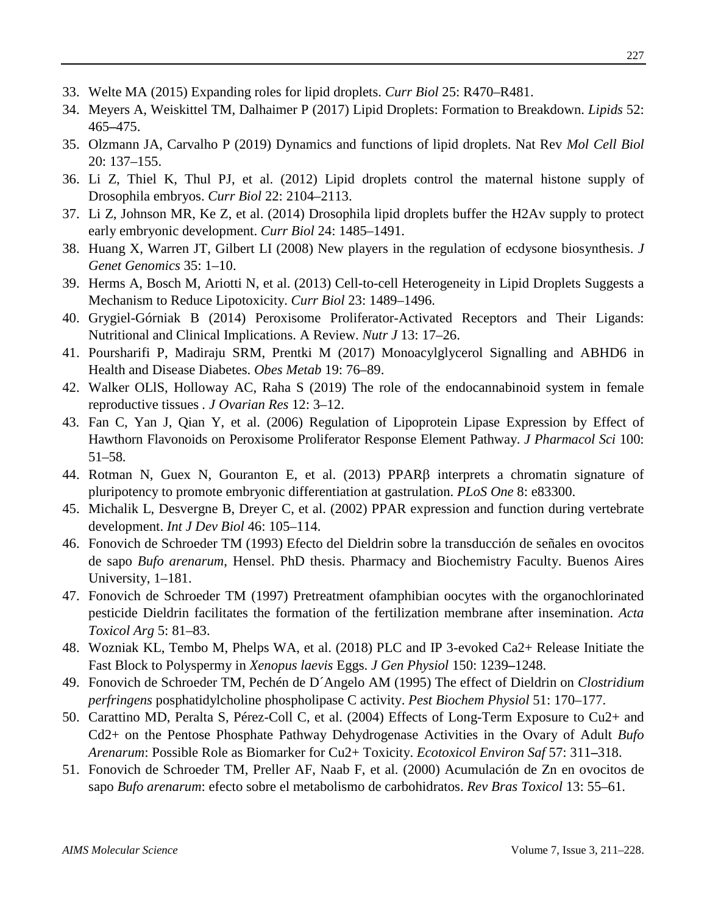- 33. Welte MA (2015) Expanding roles for lipid droplets. *Curr Biol* 25: R470–R481.
- 34. Meyers A, Weiskittel TM, Dalhaimer P (2017) Lipid Droplets: Formation to Breakdown. *[Lipids](https://www.ncbi.nlm.nih.gov/pubmed/28528432)* 52: 465**–**475.
- 35. Olzmann JA, Carvalho P (2019) Dynamics and functions of lipid droplets. Nat Rev *Mol Cell Biol* 20: 137–155.
- 36. Li Z, Thiel K, Thul PJ, et al. (2012) Lipid droplets control the maternal histone supply of Drosophila embryos. *Curr Biol* 22: 2104–2113.
- 37. Li Z, Johnson MR, Ke Z, et al. (2014) Drosophila lipid droplets buffer the H2Av supply to protect early embryonic development. *Curr Biol* 24: 1485–1491.
- 38. Huang X, Warren JT, Gilbert LI (2008) New players in the regulation of ecdysone biosynthesis. *J Genet Genomics* 35: 1–10.
- 39. Herms A, Bosch M, Ariotti N, et al. (2013) Cell-to-cell Heterogeneity in Lipid Droplets Suggests a Mechanism to Reduce Lipotoxicity. *Curr Biol* 23: 1489–1496.
- 40. Grygiel-Górniak B (2014) Peroxisome Proliferator-Activated Receptors and Their Ligands: Nutritional and Clinical Implications. A Review. *Nutr J* 13: 17–26.
- 41. Poursharifi P, Madiraju SRM, Prentki M (2017) Monoacylglycerol Signalling and ABHD6 in Health and Disease Diabetes. *Obes Metab* 19: 76–89.
- 42. Walker OLlS, Holloway AC, Raha S (2019) The role of the endocannabinoid system in female reproductive tissues *. J Ovarian Res* 12: 3–12.
- 43. Fan C, Yan J, Qian Y, et al. (2006) Regulation of Lipoprotein Lipase Expression by Effect of Hawthorn Flavonoids on Peroxisome Proliferator Response Element Pathway. *J Pharmacol Sci* 100: 51–58.
- 44. Rotman N, Guex N, Gouranton E, et al. (2013) PPARβ interprets a chromatin signature of pluripotency to promote embryonic differentiation at gastrulation. *PLoS One* 8: e83300.
- 45. Michalik L, Desvergne B, Dreyer C, et al. (2002) PPAR expression and function during vertebrate development. *Int J Dev Biol* 46: 105–114.
- 46. Fonovich de Schroeder TM (1993) Efecto del Dieldrin sobre la transducción de señales en ovocitos de sapo *Bufo arenarum*, Hensel. PhD thesis. Pharmacy and Biochemistry Faculty. Buenos Aires University, 1–181.
- 47. Fonovich de Schroeder TM (1997) Pretreatment ofamphibian oocytes with the organochlorinated pesticide Dieldrin facilitates the formation of the fertilization membrane after insemination. *Acta Toxicol Arg* 5: 81–83.
- 48. Wozniak KL, Tembo [M,](https://pubmed.ncbi.nlm.nih.gov/30012841-plc-and-ip-3-evoked-ca-2-release-initiate-the-fast-block-to-polyspermy-in-xenopus-laevis-eggs/?from_term=amphibian+fertilization+membrane+&from_filter=simsearch2.ffrft&from_pos=1#affiliation-1) Phelps WA, et al. (2018) PLC and IP 3-evoked Ca2+ Release Initiate the Fast Block to Polyspermy in *Xenopus laevis* Eggs. *J Gen Physiol* 150: 1239**–**1248.
- 49. Fonovich de Schroeder TM, Pechén de D´Angelo AM (1995) The effect of Dieldrin on *Clostridium perfringens* posphatidylcholine phospholipase C activity. *Pest Biochem Physiol* 51: 170–177.
- 50. Carattino MD, Peralta S, Pérez-Coll C, et al. (2004) Effects of Long-Term Exposure to Cu2+ and Cd2+ on the Pentose Phosphate Pathway Dehydrogenase Activities in the Ovary of Adult *Bufo Arenarum*: Possible Role as Biomarker for Cu2+ Toxicity. *Ecotoxicol Environ Saf* 57: 311**–**318.
- 51. Fonovich de Schroeder TM, Preller AF, Naab F, et al. (2000) Acumulación de Zn en ovocitos de sapo *Bufo arenarum*: efecto sobre el metabolismo de carbohidratos. *Rev Bras Toxicol* 13: 55–61.